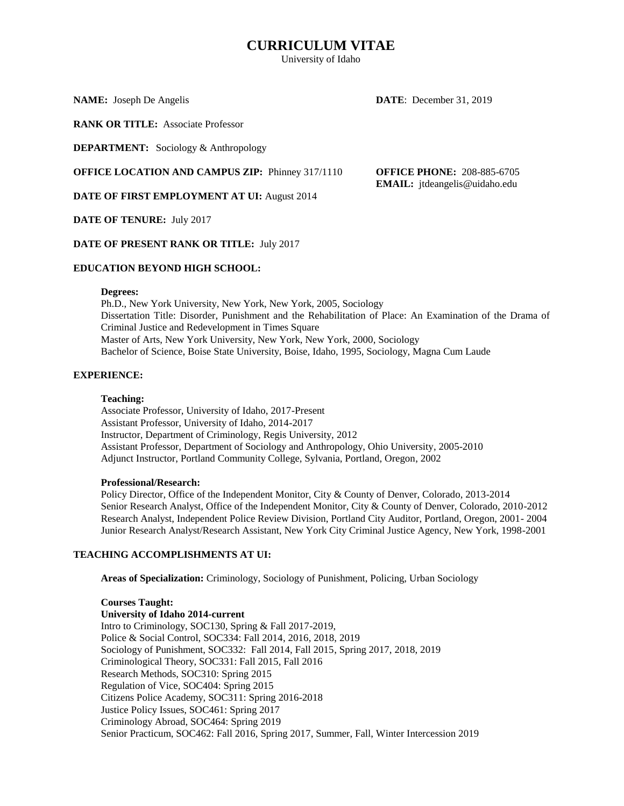# **CURRICULUM VITAE**

University of Idaho

### **NAME:** Joseph De Angelis **DATE**: December 31, 2019

**EMAIL:** jtdeangelis@uidaho.edu

**RANK OR TITLE:** Associate Professor

**DEPARTMENT:** Sociology & Anthropology

**OFFICE LOCATION AND CAMPUS ZIP:** Phinney 317/1110 **OFFICE PHONE:** 208-885-6705

#### **DATE OF FIRST EMPLOYMENT AT UI:** August 2014

**DATE OF TENURE:** July 2017

**DATE OF PRESENT RANK OR TITLE:** July 2017

# **EDUCATION BEYOND HIGH SCHOOL:**

### **Degrees:**

Ph.D., New York University, New York, New York, 2005, Sociology Dissertation Title: Disorder, Punishment and the Rehabilitation of Place: An Examination of the Drama of Criminal Justice and Redevelopment in Times Square Master of Arts, New York University, New York, New York, 2000, Sociology Bachelor of Science, Boise State University, Boise, Idaho, 1995, Sociology, Magna Cum Laude

# **EXPERIENCE:**

#### **Teaching:**

Associate Professor, University of Idaho, 2017-Present Assistant Professor, University of Idaho, 2014-2017 Instructor, Department of Criminology, Regis University, 2012 Assistant Professor, Department of Sociology and Anthropology, Ohio University, 2005-2010 Adjunct Instructor, Portland Community College, Sylvania, Portland, Oregon, 2002

### **Professional/Research:**

Policy Director, Office of the Independent Monitor, City & County of Denver, Colorado, 2013-2014 Senior Research Analyst, Office of the Independent Monitor, City & County of Denver, Colorado, 2010-2012 Research Analyst, Independent Police Review Division, Portland City Auditor, Portland, Oregon, 2001- 2004 Junior Research Analyst/Research Assistant, New York City Criminal Justice Agency, New York, 1998-2001

# **TEACHING ACCOMPLISHMENTS AT UI:**

**Areas of Specialization:** Criminology, Sociology of Punishment, Policing, Urban Sociology

**Courses Taught: University of Idaho 2014-current** Intro to Criminology, SOC130, Spring & Fall 2017-2019, Police & Social Control, SOC334: Fall 2014, 2016, 2018, 2019 Sociology of Punishment, SOC332: Fall 2014, Fall 2015, Spring 2017, 2018, 2019 Criminological Theory, SOC331: Fall 2015, Fall 2016 Research Methods, SOC310: Spring 2015 Regulation of Vice, SOC404: Spring 2015 Citizens Police Academy, SOC311: Spring 2016-2018 Justice Policy Issues, SOC461: Spring 2017 Criminology Abroad, SOC464: Spring 2019 Senior Practicum, SOC462: Fall 2016, Spring 2017, Summer, Fall, Winter Intercession 2019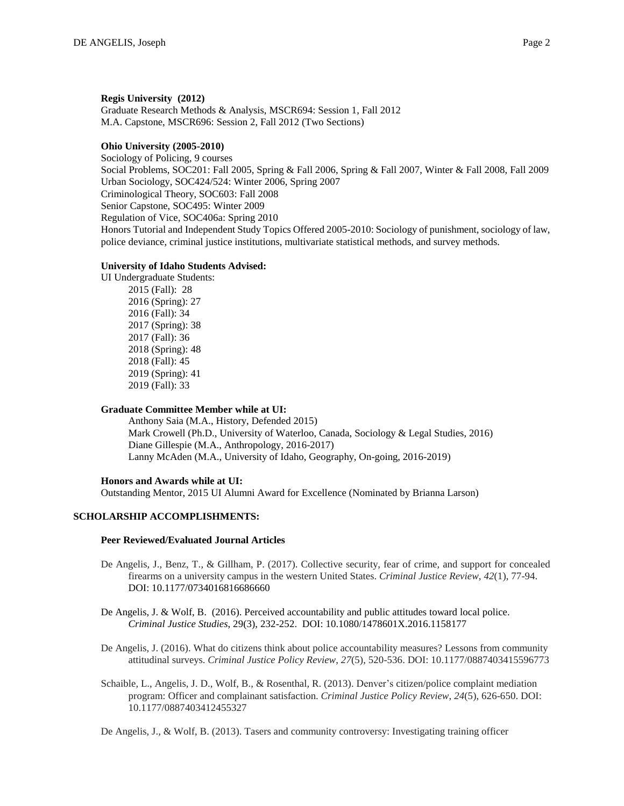### **Regis University (2012)**

Graduate Research Methods & Analysis, MSCR694: Session 1, Fall 2012 M.A. Capstone, MSCR696: Session 2, Fall 2012 (Two Sections)

### **Ohio University (2005-2010)**

Sociology of Policing, 9 courses Social Problems, SOC201: Fall 2005, Spring & Fall 2006, Spring & Fall 2007, Winter & Fall 2008, Fall 2009 Urban Sociology, SOC424/524: Winter 2006, Spring 2007 Criminological Theory, SOC603: Fall 2008 Senior Capstone, SOC495: Winter 2009 Regulation of Vice, SOC406a: Spring 2010 Honors Tutorial and Independent Study Topics Offered 2005-2010: Sociology of punishment, sociology of law, police deviance, criminal justice institutions, multivariate statistical methods, and survey methods.

# **University of Idaho Students Advised:**

UI Undergraduate Students: 2015 (Fall): 28 2016 (Spring): 27 2016 (Fall): 34 2017 (Spring): 38 2017 (Fall): 36 2018 (Spring): 48 2018 (Fall): 45 2019 (Spring): 41 2019 (Fall): 33

### **Graduate Committee Member while at UI:**

Anthony Saia (M.A., History, Defended 2015) Mark Crowell (Ph.D., University of Waterloo, Canada, Sociology & Legal Studies, 2016) Diane Gillespie (M.A., Anthropology, 2016-2017) Lanny McAden (M.A., University of Idaho, Geography, On-going, 2016-2019)

### **Honors and Awards while at UI:**

Outstanding Mentor, 2015 UI Alumni Award for Excellence (Nominated by Brianna Larson)

# **SCHOLARSHIP ACCOMPLISHMENTS:**

### **Peer Reviewed/Evaluated Journal Articles**

- De Angelis, J., Benz, T., & Gillham, P. (2017). Collective security, fear of crime, and support for concealed firearms on a university campus in the western United States. *Criminal Justice Review*, *42*(1), 77-94. DOI: 10.1177/0734016816686660
- De Angelis, J. & Wolf, B. (2016). Perceived accountability and public attitudes toward local police. *Criminal Justice Studies*, 29(3), 232-252. DOI: [10.1080/1478601X.2016.1158177](https://doi.org/10.1080/1478601X.2016.1158177)
- De Angelis, J. (2016). What do citizens think about police accountability measures? Lessons from community attitudinal surveys. *Criminal Justice Policy Review*, *27*(5), 520-536. DOI: 10.1177/0887403415596773
- Schaible, L., Angelis, J. D., Wolf, B., & Rosenthal, R. (2013). Denver's citizen/police complaint mediation program: Officer and complainant satisfaction. *Criminal Justice Policy Review*, *24*(5), 626-650. DOI: 10.1177/0887403412455327

De Angelis, J., & Wolf, B. (2013). Tasers and community controversy: Investigating training officer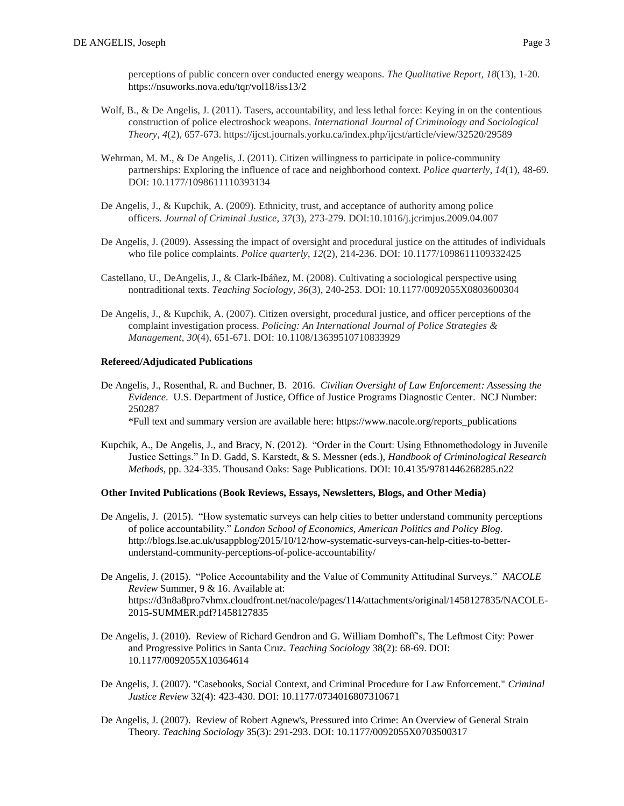- Wolf, B., & De Angelis, J. (2011). Tasers, accountability, and less lethal force: Keying in on the contentious construction of police electroshock weapons. *International Journal of Criminology and Sociological Theory*, *4*(2), 657-673. https://ijcst.journals.yorku.ca/index.php/ijcst/article/view/32520/29589
- Wehrman, M. M., & De Angelis, J. (2011). Citizen willingness to participate in police-community partnerships: Exploring the influence of race and neighborhood context. *Police quarterly*, *14*(1), 48-69. DOI: 10.1177/1098611110393134
- De Angelis, J., & Kupchik, A. (2009). Ethnicity, trust, and acceptance of authority among police officers. *Journal of Criminal Justice*, *37*(3), 273-279. DOI:10.1016/j.jcrimjus.2009.04.007
- De Angelis, J. (2009). Assessing the impact of oversight and procedural justice on the attitudes of individuals who file police complaints. *Police quarterly*, *12*(2), 214-236. DOI: 10.1177/1098611109332425
- Castellano, U., DeAngelis, J., & Clark-Ibáñez, M. (2008). Cultivating a sociological perspective using nontraditional texts. *Teaching Sociology*, *36*(3), 240-253. DOI: 10.1177/0092055X0803600304
- De Angelis, J., & Kupchik, A. (2007). Citizen oversight, procedural justice, and officer perceptions of the complaint investigation process. *Policing: An International Journal of Police Strategies & Management*, *30*(4), 651-671. DOI: 10.1108/13639510710833929

# **Refereed/Adjudicated Publications**

- De Angelis, J., Rosenthal, R. and Buchner, B. 2016. *Civilian Oversight of Law Enforcement: Assessing the Evidence*. U.S. Department of Justice, Office of Justice Programs Diagnostic Center. NCJ Number: 250287 \*Full text and summary version are available here: [https://www.nacole.org/reports\\_publications](https://www.nacole.org/reports_publications)
- Kupchik, A., De Angelis, J., and Bracy, N. (2012). "Order in the Court: Using Ethnomethodology in Juvenile Justice Settings." In D. Gadd, S. Karstedt, & S. Messner (eds.), *Handbook of Criminological Research Methods,* pp. 324-335. Thousand Oaks: Sage Publications. DOI: 10.4135/9781446268285.n22

### **Other Invited Publications (Book Reviews, Essays, Newsletters, Blogs, and Other Media)**

- De Angelis, J. (2015). "How systematic surveys can help cities to better understand community perceptions of police accountability." *London School of Economics, American Politics and Policy Blog*. http://blogs.lse.ac.uk/usappblog/2015/10/12/how-systematic-surveys-can-help-cities-to-betterunderstand-community-perceptions-of-police-accountability/
- De Angelis, J. (2015). "Police Accountability and the Value of Community Attitudinal Surveys." *NACOLE Review* Summer, 9 & 16. Available at: [https://d3n8a8pro7vhmx.cloudfront.net/nacole/pages/114/attachments/original/1458127835/NACOLE-](https://d3n8a8pro7vhmx.cloudfront.net/nacole/pages/114/attachments/original/1458127835/NACOLE-2015-SUMMER.pdf?1458127835)[2015-SUMMER.pdf?1458127835](https://d3n8a8pro7vhmx.cloudfront.net/nacole/pages/114/attachments/original/1458127835/NACOLE-2015-SUMMER.pdf?1458127835)
- De Angelis, J. (2010). Review of Richard Gendron and G. William Domhoff's, The Leftmost City: Power and Progressive Politics in Santa Cruz. *Teaching Sociology* 38(2): 68-69. DOI: 10.1177/0092055X10364614
- De Angelis, J. (2007). "Casebooks, Social Context, and Criminal Procedure for Law Enforcement." *Criminal Justice Review* 32(4): 423-430. DOI: [10.1177/0734016807310671](https://doi.org/10.1177%2F0734016807310671)
- De Angelis, J. (2007). Review of Robert Agnew's, Pressured into Crime: An Overview of General Strain Theory. *Teaching Sociology* 35(3): 291-293. DOI: 10.1177/0092055X0703500317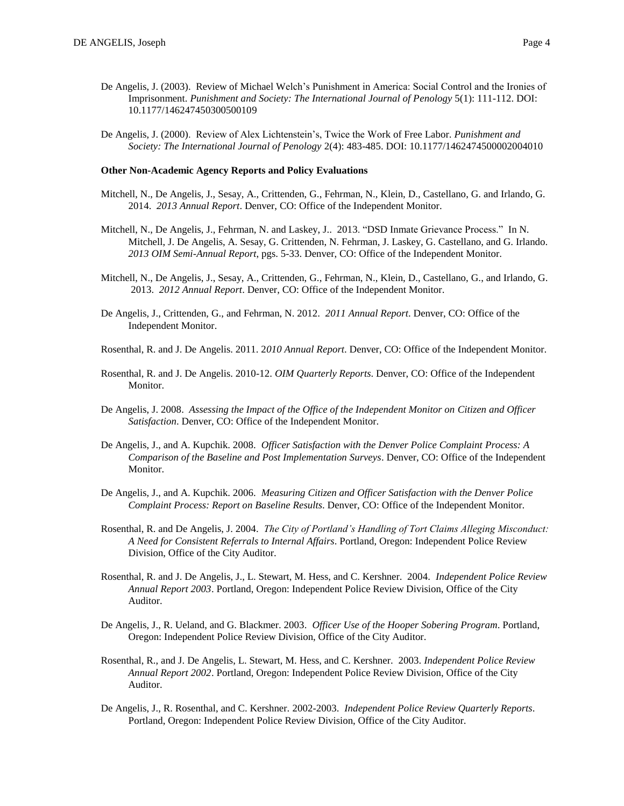- De Angelis, J. (2003). Review of Michael Welch's Punishment in America: Social Control and the Ironies of Imprisonment. *Punishment and Society: The International Journal of Penology* 5(1): 111-112. DOI: 10.1177/146247450300500109
- De Angelis, J. (2000). Review of Alex Lichtenstein's, Twice the Work of Free Labor. *Punishment and Society: The International Journal of Penology* 2(4): 483-485. DOI: 10.1177/1462474500002004010

#### **Other Non-Academic Agency Reports and Policy Evaluations**

- Mitchell, N., De Angelis, J., Sesay, A., Crittenden, G., Fehrman, N., Klein, D., Castellano, G. and Irlando, G. 2014. *2013 Annual Report*. Denver, CO: Office of the Independent Monitor.
- Mitchell, N., De Angelis, J., Fehrman, N. and Laskey, J.. 2013. "DSD Inmate Grievance Process." In N. Mitchell, J. De Angelis, A. Sesay, G. Crittenden, N. Fehrman, J. Laskey, G. Castellano, and G. Irlando. *2013 OIM Semi-Annual Report*, pgs. 5-33. Denver, CO: Office of the Independent Monitor.
- Mitchell, N., De Angelis, J., Sesay, A., Crittenden, G., Fehrman, N., Klein, D., Castellano, G., and Irlando, G. 2013. *2012 Annual Report*. Denver, CO: Office of the Independent Monitor.
- De Angelis, J., Crittenden, G., and Fehrman, N. 2012. *2011 Annual Report*. Denver, CO: Office of the Independent Monitor.
- Rosenthal, R. and J. De Angelis. 2011. 2*010 Annual Report*. Denver, CO: Office of the Independent Monitor.
- Rosenthal, R. and J. De Angelis. 2010-12. *OIM Quarterly Reports*. Denver, CO: Office of the Independent Monitor.
- De Angelis, J. 2008. *Assessing the Impact of the Office of the Independent Monitor on Citizen and Officer Satisfaction*. Denver, CO: Office of the Independent Monitor.
- De Angelis, J., and A. Kupchik. 2008. *Officer Satisfaction with the Denver Police Complaint Process: A Comparison of the Baseline and Post Implementation Surveys*. Denver, CO: Office of the Independent Monitor.
- De Angelis, J., and A. Kupchik. 2006. *Measuring Citizen and Officer Satisfaction with the Denver Police Complaint Process: Report on Baseline Results*. Denver, CO: Office of the Independent Monitor.
- Rosenthal, R. and De Angelis, J. 2004. *The City of Portland's Handling of Tort Claims Alleging Misconduct: A Need for Consistent Referrals to Internal Affairs*. Portland, Oregon: Independent Police Review Division, Office of the City Auditor.
- Rosenthal, R. and J. De Angelis, J., L. Stewart, M. Hess, and C. Kershner. 2004. *Independent Police Review Annual Report 2003*. Portland, Oregon: Independent Police Review Division, Office of the City Auditor.
- De Angelis, J., R. Ueland, and G. Blackmer. 2003. *Officer Use of the Hooper Sobering Program*. Portland, Oregon: Independent Police Review Division, Office of the City Auditor.
- Rosenthal, R., and J. De Angelis, L. Stewart, M. Hess, and C. Kershner. 2003. *Independent Police Review Annual Report 2002*. Portland, Oregon: Independent Police Review Division, Office of the City Auditor.
- De Angelis, J., R. Rosenthal, and C. Kershner. 2002-2003. *Independent Police Review Quarterly Reports*. Portland, Oregon: Independent Police Review Division, Office of the City Auditor.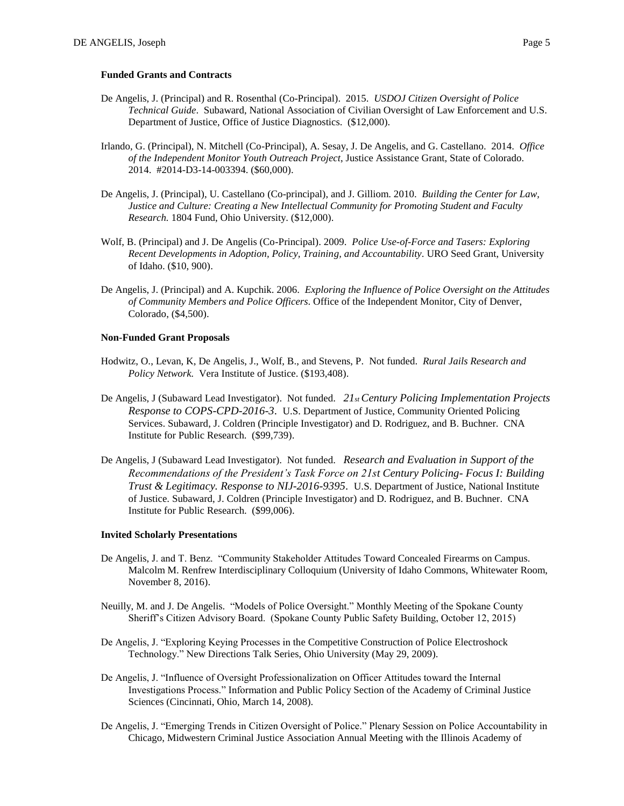### **Funded Grants and Contracts**

- De Angelis, J. (Principal) and R. Rosenthal (Co-Principal). 2015. *USDOJ Citizen Oversight of Police Technical Guide*. Subaward, National Association of Civilian Oversight of Law Enforcement and U.S. Department of Justice, Office of Justice Diagnostics. (\$12,000).
- Irlando, G. (Principal), N. Mitchell (Co-Principal), A. Sesay, J. De Angelis, and G. Castellano. 2014. *Office of the Independent Monitor Youth Outreach Project*, Justice Assistance Grant, State of Colorado. 2014. #2014-D3-14-003394. (\$60,000).
- De Angelis, J. (Principal), U. Castellano (Co-principal), and J. Gilliom. 2010. *Building the Center for Law, Justice and Culture: Creating a New Intellectual Community for Promoting Student and Faculty Research.* 1804 Fund, Ohio University. (\$12,000).
- Wolf, B. (Principal) and J. De Angelis (Co-Principal). 2009. *Police Use-of-Force and Tasers: Exploring Recent Developments in Adoption, Policy, Training, and Accountability*. URO Seed Grant, University of Idaho. (\$10, 900).
- De Angelis, J. (Principal) and A. Kupchik. 2006. *Exploring the Influence of Police Oversight on the Attitudes of Community Members and Police Officers*. Office of the Independent Monitor, City of Denver, Colorado, (\$4,500).

#### **Non-Funded Grant Proposals**

- Hodwitz, O., Levan, K, De Angelis, J., Wolf, B., and Stevens, P. Not funded. *Rural Jails Research and Policy Network.* Vera Institute of Justice. (\$193,408).
- De Angelis, J (Subaward Lead Investigator). Not funded. *21st Century Policing Implementation Projects Response to COPS-CPD-2016-3*. U.S. Department of Justice, Community Oriented Policing Services. Subaward, J. Coldren (Principle Investigator) and D. Rodriguez, and B. Buchner. CNA Institute for Public Research. (\$99,739).
- De Angelis, J (Subaward Lead Investigator). Not funded. *Research and Evaluation in Support of the Recommendations of the President's Task Force on 21st Century Policing- Focus I: Building Trust & Legitimacy. Response to NIJ-2016-9395*. U.S. Department of Justice, National Institute of Justice. Subaward, J. Coldren (Principle Investigator) and D. Rodriguez, and B. Buchner. CNA Institute for Public Research. (\$99,006).

#### **Invited Scholarly Presentations**

- De Angelis, J. and T. Benz. "Community Stakeholder Attitudes Toward Concealed Firearms on Campus. Malcolm M. Renfrew Interdisciplinary Colloquium (University of Idaho Commons, Whitewater Room, November 8, 2016).
- Neuilly, M. and J. De Angelis. "Models of Police Oversight." Monthly Meeting of the Spokane County Sheriff's Citizen Advisory Board. (Spokane County Public Safety Building, October 12, 2015)
- De Angelis, J. "Exploring Keying Processes in the Competitive Construction of Police Electroshock Technology." New Directions Talk Series, Ohio University (May 29, 2009).
- De Angelis, J. "Influence of Oversight Professionalization on Officer Attitudes toward the Internal Investigations Process." Information and Public Policy Section of the Academy of Criminal Justice Sciences (Cincinnati, Ohio, March 14, 2008).
- De Angelis, J. "Emerging Trends in Citizen Oversight of Police." Plenary Session on Police Accountability in Chicago, Midwestern Criminal Justice Association Annual Meeting with the Illinois Academy of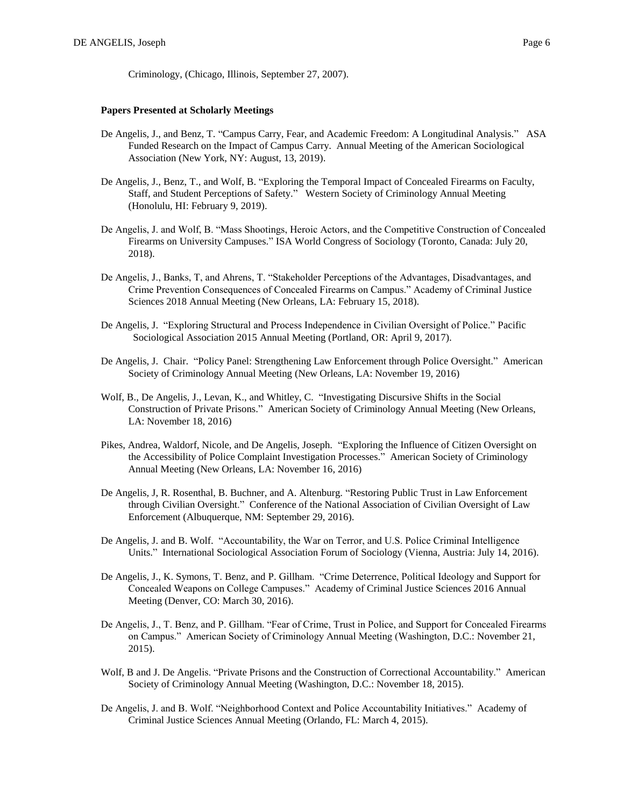Criminology, (Chicago, Illinois, September 27, 2007).

#### **Papers Presented at Scholarly Meetings**

- De Angelis, J., and Benz, T. "Campus Carry, Fear, and Academic Freedom: A Longitudinal Analysis." ASA Funded Research on the Impact of Campus Carry. Annual Meeting of the American Sociological Association (New York, NY: August, 13, 2019).
- De Angelis, J., Benz, T., and Wolf, B. "Exploring the Temporal Impact of Concealed Firearms on Faculty, Staff, and Student Perceptions of Safety." Western Society of Criminology Annual Meeting (Honolulu, HI: February 9, 2019).
- De Angelis, J. and Wolf, B. "Mass Shootings, Heroic Actors, and the Competitive Construction of Concealed Firearms on University Campuses." ISA World Congress of Sociology (Toronto, Canada: July 20, 2018).
- De Angelis, J., Banks, T, and Ahrens, T. "Stakeholder Perceptions of the Advantages, Disadvantages, and Crime Prevention Consequences of Concealed Firearms on Campus." Academy of Criminal Justice Sciences 2018 Annual Meeting (New Orleans, LA: February 15, 2018).
- De Angelis, J. "Exploring Structural and Process Independence in Civilian Oversight of Police." Pacific Sociological Association 2015 Annual Meeting (Portland, OR: April 9, 2017).
- De Angelis, J. Chair. "Policy Panel: Strengthening Law Enforcement through Police Oversight." American Society of Criminology Annual Meeting (New Orleans, LA: November 19, 2016)
- Wolf, B., De Angelis, J., Levan, K., and Whitley, C. "Investigating Discursive Shifts in the Social Construction of Private Prisons." American Society of Criminology Annual Meeting (New Orleans, LA: November 18, 2016)
- Pikes, Andrea, Waldorf, Nicole, and De Angelis, Joseph. "Exploring the Influence of Citizen Oversight on the Accessibility of Police Complaint Investigation Processes." American Society of Criminology Annual Meeting (New Orleans, LA: November 16, 2016)
- De Angelis, J, R. Rosenthal, B. Buchner, and A. Altenburg. "Restoring Public Trust in Law Enforcement through Civilian Oversight." Conference of the National Association of Civilian Oversight of Law Enforcement (Albuquerque, NM: September 29, 2016).
- De Angelis, J. and B. Wolf. "Accountability, the War on Terror, and U.S. Police Criminal Intelligence Units." International Sociological Association Forum of Sociology (Vienna, Austria: July 14, 2016).
- De Angelis, J., K. Symons, T. Benz, and P. Gillham. "Crime Deterrence, Political Ideology and Support for Concealed Weapons on College Campuses." Academy of Criminal Justice Sciences 2016 Annual Meeting (Denver, CO: March 30, 2016).
- De Angelis, J., T. Benz, and P. Gillham. "Fear of Crime, Trust in Police, and Support for Concealed Firearms on Campus." American Society of Criminology Annual Meeting (Washington, D.C.: November 21, 2015).
- Wolf, B and J. De Angelis. "Private Prisons and the Construction of Correctional Accountability." American Society of Criminology Annual Meeting (Washington, D.C.: November 18, 2015).
- De Angelis, J. and B. Wolf. "Neighborhood Context and Police Accountability Initiatives." Academy of Criminal Justice Sciences Annual Meeting (Orlando, FL: March 4, 2015).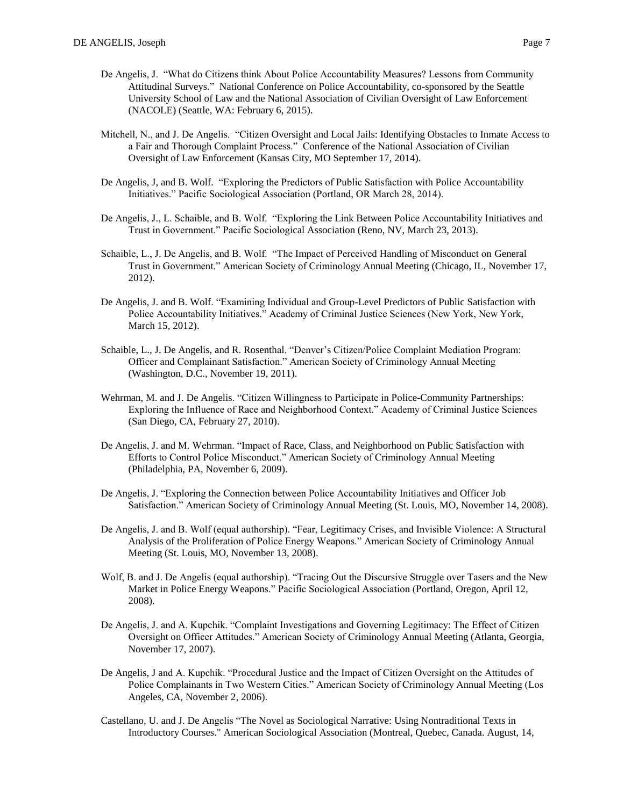- De Angelis, J. "What do Citizens think About Police Accountability Measures? Lessons from Community Attitudinal Surveys." National Conference on Police Accountability, co-sponsored by the Seattle University School of Law and the National Association of Civilian Oversight of Law Enforcement (NACOLE) (Seattle, WA: February 6, 2015).
- Mitchell, N., and J. De Angelis. "Citizen Oversight and Local Jails: Identifying Obstacles to Inmate Access to a Fair and Thorough Complaint Process." Conference of the National Association of Civilian Oversight of Law Enforcement (Kansas City, MO September 17, 2014).
- De Angelis, J, and B. Wolf. "Exploring the Predictors of Public Satisfaction with Police Accountability Initiatives." Pacific Sociological Association (Portland, OR March 28, 2014).
- De Angelis, J., L. Schaible, and B. Wolf. "Exploring the Link Between Police Accountability Initiatives and Trust in Government." Pacific Sociological Association (Reno, NV, March 23, 2013).
- Schaible, L., J. De Angelis, and B. Wolf. "The Impact of Perceived Handling of Misconduct on General Trust in Government." American Society of Criminology Annual Meeting (Chicago, IL, November 17, 2012).
- De Angelis, J. and B. Wolf. "Examining Individual and Group-Level Predictors of Public Satisfaction with Police Accountability Initiatives." Academy of Criminal Justice Sciences (New York, New York, March 15, 2012).
- Schaible, L., J. De Angelis, and R. Rosenthal. "Denver's Citizen/Police Complaint Mediation Program: Officer and Complainant Satisfaction." American Society of Criminology Annual Meeting (Washington, D.C., November 19, 2011).
- Wehrman, M. and J. De Angelis. "Citizen Willingness to Participate in Police-Community Partnerships: Exploring the Influence of Race and Neighborhood Context." Academy of Criminal Justice Sciences (San Diego, CA, February 27, 2010).
- De Angelis, J. and M. Wehrman. "Impact of Race, Class, and Neighborhood on Public Satisfaction with Efforts to Control Police Misconduct." American Society of Criminology Annual Meeting (Philadelphia, PA, November 6, 2009).
- De Angelis, J. "Exploring the Connection between Police Accountability Initiatives and Officer Job Satisfaction." American Society of Criminology Annual Meeting (St. Louis, MO, November 14, 2008).
- De Angelis, J. and B. Wolf (equal authorship). "Fear, Legitimacy Crises, and Invisible Violence: A Structural Analysis of the Proliferation of Police Energy Weapons." American Society of Criminology Annual Meeting (St. Louis, MO, November 13, 2008).
- Wolf, B. and J. De Angelis (equal authorship). "Tracing Out the Discursive Struggle over Tasers and the New Market in Police Energy Weapons." Pacific Sociological Association (Portland, Oregon, April 12, 2008).
- De Angelis, J. and A. Kupchik. "Complaint Investigations and Governing Legitimacy: The Effect of Citizen Oversight on Officer Attitudes." American Society of Criminology Annual Meeting (Atlanta, Georgia, November 17, 2007).
- De Angelis, J and A. Kupchik. "Procedural Justice and the Impact of Citizen Oversight on the Attitudes of Police Complainants in Two Western Cities." American Society of Criminology Annual Meeting (Los Angeles, CA, November 2, 2006).
- Castellano, U. and J. De Angelis "The Novel as Sociological Narrative: Using Nontraditional Texts in Introductory Courses." American Sociological Association (Montreal, Quebec, Canada. August, 14,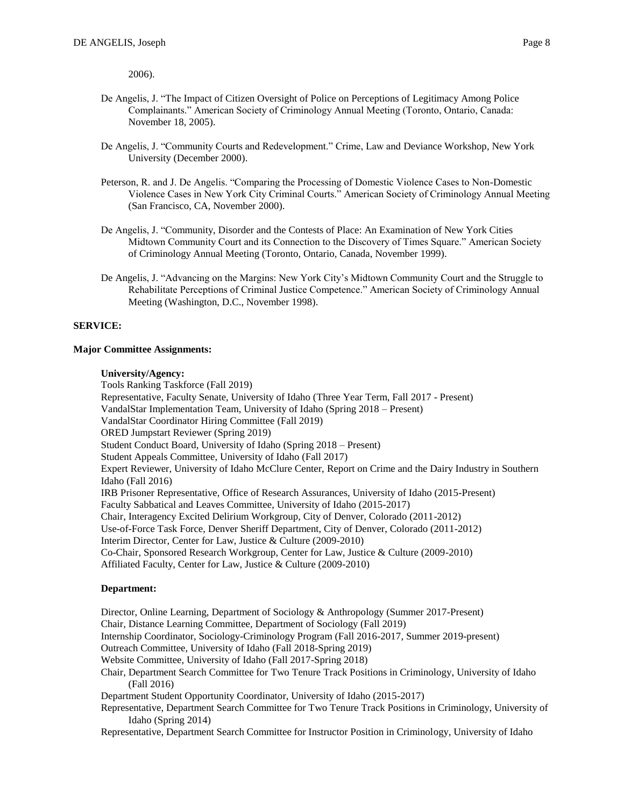2006).

- De Angelis, J. "The Impact of Citizen Oversight of Police on Perceptions of Legitimacy Among Police Complainants." American Society of Criminology Annual Meeting (Toronto, Ontario, Canada: November 18, 2005).
- De Angelis, J. "Community Courts and Redevelopment." Crime, Law and Deviance Workshop, New York University (December 2000).
- Peterson, R. and J. De Angelis. "Comparing the Processing of Domestic Violence Cases to Non-Domestic Violence Cases in New York City Criminal Courts." American Society of Criminology Annual Meeting (San Francisco, CA, November 2000).
- De Angelis, J. "Community, Disorder and the Contests of Place: An Examination of New York Cities Midtown Community Court and its Connection to the Discovery of Times Square." American Society of Criminology Annual Meeting (Toronto, Ontario, Canada, November 1999).
- De Angelis, J. "Advancing on the Margins: New York City's Midtown Community Court and the Struggle to Rehabilitate Perceptions of Criminal Justice Competence." American Society of Criminology Annual Meeting (Washington, D.C., November 1998).

### **SERVICE:**

#### **Major Committee Assignments:**

#### **University/Agency:**

Tools Ranking Taskforce (Fall 2019) Representative, Faculty Senate, University of Idaho (Three Year Term, Fall 2017 - Present) VandalStar Implementation Team, University of Idaho (Spring 2018 – Present) VandalStar Coordinator Hiring Committee (Fall 2019) ORED Jumpstart Reviewer (Spring 2019) Student Conduct Board, University of Idaho (Spring 2018 – Present) Student Appeals Committee, University of Idaho (Fall 2017) Expert Reviewer, University of Idaho McClure Center, Report on Crime and the Dairy Industry in Southern Idaho (Fall 2016) IRB Prisoner Representative, Office of Research Assurances, University of Idaho (2015-Present) Faculty Sabbatical and Leaves Committee, University of Idaho (2015-2017) Chair, Interagency Excited Delirium Workgroup, City of Denver, Colorado (2011-2012) Use-of-Force Task Force, Denver Sheriff Department, City of Denver, Colorado (2011-2012) Interim Director, Center for Law, Justice & Culture (2009-2010) Co-Chair, Sponsored Research Workgroup, Center for Law, Justice & Culture (2009-2010) Affiliated Faculty, Center for Law, Justice & Culture (2009-2010)

### **Department:**

Director, Online Learning, Department of Sociology & Anthropology (Summer 2017-Present) Chair, Distance Learning Committee, Department of Sociology (Fall 2019) Internship Coordinator, Sociology-Criminology Program (Fall 2016-2017, Summer 2019-present) Outreach Committee, University of Idaho (Fall 2018-Spring 2019) Website Committee, University of Idaho (Fall 2017-Spring 2018) Chair, Department Search Committee for Two Tenure Track Positions in Criminology, University of Idaho (Fall 2016) Department Student Opportunity Coordinator, University of Idaho (2015-2017) Representative, Department Search Committee for Two Tenure Track Positions in Criminology, University of Idaho (Spring 2014) Representative, Department Search Committee for Instructor Position in Criminology, University of Idaho